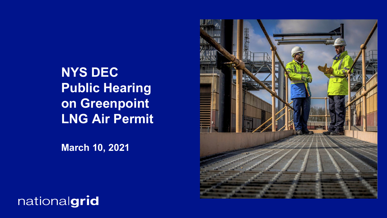**NYS DEC Public Hearing on Greenpoint LNG Air Permit**

**March 10, 2021**



nationalgrid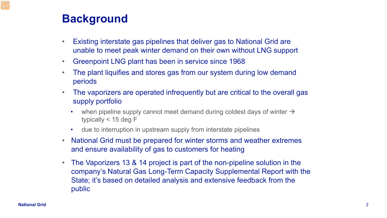# **Background**

- Existing interstate gas pipelines that deliver gas to National Grid are unable to meet peak winter demand on their own without LNG support
- Greenpoint LNG plant has been in service since 1968
- The plant liquifies and stores gas from our system during low demand periods
- The vaporizers are operated infrequently but are critical to the overall gas supply portfolio
	- when pipeline supply cannot meet demand during coldest days of winter  $\rightarrow$ typically < 15 deg F
	- due to interruption in upstream supply from interstate pipelines
- National Grid must be prepared for winter storms and weather extremes and ensure availability of gas to customers for heating
- The Vaporizers 13 & 14 project is part of the non-pipeline solution in the company's Natural Gas Long-Term Capacity Supplemental Report with the State; it's based on detailed analysis and extensive feedback from the public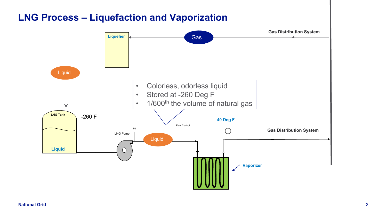## **LNG Process – Liquefaction and Vaporization**

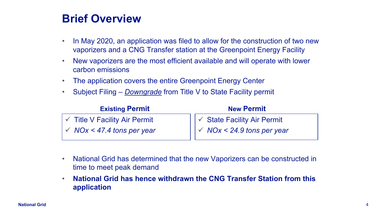## **Brief Overview**

- In May 2020, an application was filed to allow for the construction of two new vaporizers and a CNG Transfer station at the Greenpoint Energy Facility
- New vaporizers are the most efficient available and will operate with lower carbon emissions
- The application covers the entire Greenpoint Energy Center
- Subject Filing *Downgrade* from Title V to State Facility permit

| <b>Existing Permit</b>                 | <b>New Permit</b>                                  |
|----------------------------------------|----------------------------------------------------|
| $\sqrt{ }$ Title V Facility Air Permit | │ │ ✓ State Facility Air Permit                    |
| $\sim$ NOx < 47.4 tons per year        | $\vert\vert$ $\checkmark$ NOx < 24.9 tons per year |

- National Grid has determined that the new Vaporizers can be constructed in time to meet peak demand
- **National Grid has hence withdrawn the CNG Transfer Station from this application**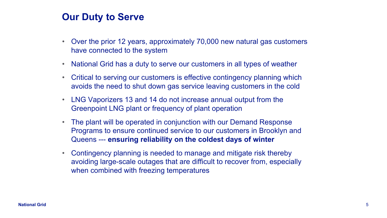#### **Our Duty to Serve**

- Over the prior 12 years, approximately 70,000 new natural gas customers have connected to the system
- National Grid has a duty to serve our customers in all types of weather
- Critical to serving our customers is effective contingency planning which avoids the need to shut down gas service leaving customers in the cold
- LNG Vaporizers 13 and 14 do not increase annual output from the Greenpoint LNG plant or frequency of plant operation
- The plant will be operated in conjunction with our Demand Response Programs to ensure continued service to our customers in Brooklyn and Queens --- **ensuring reliability on the coldest days of winter**
- Contingency planning is needed to manage and mitigate risk thereby avoiding large-scale outages that are difficult to recover from, especially when combined with freezing temperatures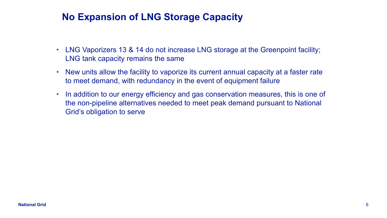## **No Expansion of LNG Storage Capacity**

- LNG Vaporizers 13 & 14 do not increase LNG storage at the Greenpoint facility; LNG tank capacity remains the same
- New units allow the facility to vaporize its current annual capacity at a faster rate to meet demand, with redundancy in the event of equipment failure
- In addition to our energy efficiency and gas conservation measures, this is one of the non-pipeline alternatives needed to meet peak demand pursuant to National Grid's obligation to serve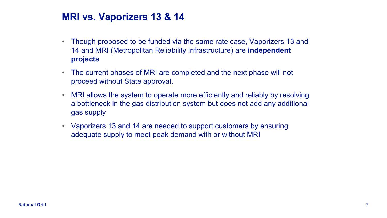## **MRI vs. Vaporizers 13 & 14**

- Though proposed to be funded via the same rate case, Vaporizers 13 and 14 and MRI (Metropolitan Reliability Infrastructure) are **independent projects**
- The current phases of MRI are completed and the next phase will not proceed without State approval.
- MRI allows the system to operate more efficiently and reliably by resolving a bottleneck in the gas distribution system but does not add any additional gas supply
- Vaporizers 13 and 14 are needed to support customers by ensuring adequate supply to meet peak demand with or without MRI